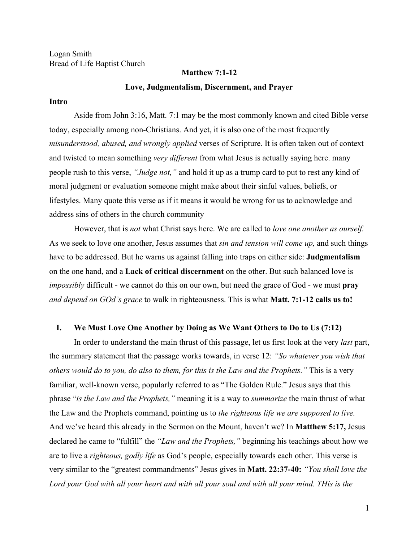Logan Smith Bread of Life Baptist Church

#### **Matthew 7:1-12**

## **Love, Judgmentalism, Discernment, and Prayer**

## **Intro**

Aside from John 3:16, Matt. 7:1 may be the most commonly known and cited Bible verse today, especially among non-Christians. And yet, it is also one of the most frequently *misunderstood, abused, and wrongly applied* verses of Scripture. It is often taken out of context and twisted to mean something *very different* from what Jesus is actually saying here. many people rush to this verse, *"Judge not,"* and hold it up as a trump card to put to rest any kind of moral judgment or evaluation someone might make about their sinful values, beliefs, or lifestyles. Many quote this verse as if it means it would be wrong for us to acknowledge and address sins of others in the church community

However, that is *not* what Christ says here. We are called to *love one another as ourself.* As we seek to love one another, Jesus assumes that *sin and tension will come up,* and such things have to be addressed. But he warns us against falling into traps on either side: **Judgmentalism** on the one hand, and a **Lack of critical discernment** on the other. But such balanced love is *impossibly* difficult - we cannot do this on our own, but need the grace of God - we must **pray** *and depend on GOd's grace* to walk in righteousness. This is what **Matt. 7:1-12 calls us to!**

# **I. We Must Love One Another by Doing as We Want Others to Do to Us (7:12)**

In order to understand the main thrust of this passage, let us first look at the very *last* part, the summary statement that the passage works towards, in verse 12: *"So whatever you wish that others would do to you, do also to them, for this is the Law and the Prophets."* This is a very familiar, well-known verse, popularly referred to as "The Golden Rule." Jesus says that this phrase "*is the Law and the Prophets,"* meaning it is a way to *summarize* the main thrust of what the Law and the Prophets command, pointing us to *the righteous life we are supposed to live.* And we've heard this already in the Sermon on the Mount, haven't we? In **Matthew 5:17,** Jesus declared he came to "fulfill" the *"Law and the Prophets,"* beginning his teachings about how we are to live a *righteous, godly life* as God's people, especially towards each other. This verse is very similar to the "greatest commandments" Jesus gives in **Matt. 22:37-40:** *"You shall love the Lord your God with all your heart and with all your soul and with all your mind. THis is the*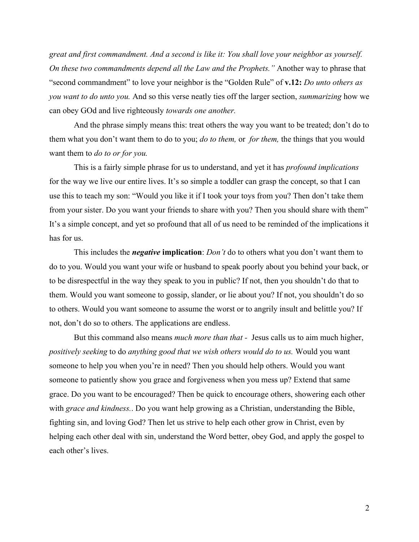*great and first commandment. And a second is like it: You shall love your neighbor as yourself. On these two commandments depend all the Law and the Prophets."* Another way to phrase that "second commandment" to love your neighbor is the "Golden Rule" of **v.12:** *Do unto others as you want to do unto you.* And so this verse neatly ties off the larger section, *summarizing* how we can obey GOd and live righteously *towards one another.*

And the phrase simply means this: treat others the way you want to be treated; don't do to them what you don't want them to do to you; *do to them,* or *for them,* the things that you would want them to *do to or for you.*

This is a fairly simple phrase for us to understand, and yet it has *profound implications* for the way we live our entire lives. It's so simple a toddler can grasp the concept, so that I can use this to teach my son: "Would you like it if I took your toys from you? Then don't take them from your sister. Do you want your friends to share with you? Then you should share with them" It's a simple concept, and yet so profound that all of us need to be reminded of the implications it has for us.

This includes the *negative* **implication**: *Don't* do to others what you don't want them to do to you. Would you want your wife or husband to speak poorly about you behind your back, or to be disrespectful in the way they speak to you in public? If not, then you shouldn't do that to them. Would you want someone to gossip, slander, or lie about you? If not, you shouldn't do so to others. Would you want someone to assume the worst or to angrily insult and belittle you? If not, don't do so to others. The applications are endless.

But this command also means *much more than that -* Jesus calls us to aim much higher, *positively seeking* to do *anything good that we wish others would do to us.* Would you want someone to help you when you're in need? Then you should help others. Would you want someone to patiently show you grace and forgiveness when you mess up? Extend that same grace. Do you want to be encouraged? Then be quick to encourage others, showering each other with *grace and kindness.*. Do you want help growing as a Christian, understanding the Bible, fighting sin, and loving God? Then let us strive to help each other grow in Christ, even by helping each other deal with sin, understand the Word better, obey God, and apply the gospel to each other's lives.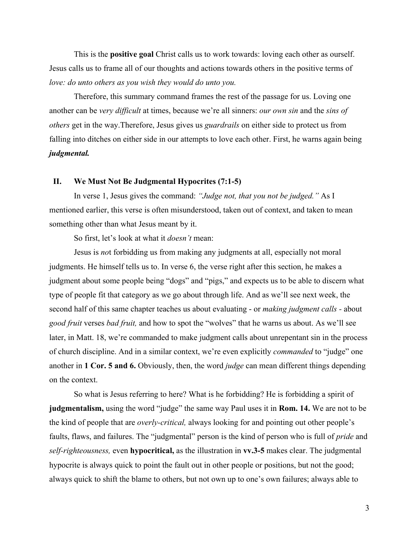This is the **positive goal** Christ calls us to work towards: loving each other as ourself. Jesus calls us to frame all of our thoughts and actions towards others in the positive terms of *love: do unto others as you wish they would do unto you.*

Therefore, this summary command frames the rest of the passage for us. Loving one another can be *very difficult* at times, because we're all sinners: *our own sin* and the *sins of others* get in the way.Therefore, Jesus gives us *guardrails* on either side to protect us from falling into ditches on either side in our attempts to love each other. First, he warns again being *judgmental.*

## **II. We Must Not Be Judgmental Hypocrites (7:1-5)**

In verse 1, Jesus gives the command: *"Judge not, that you not be judged."* As I mentioned earlier, this verse is often misunderstood, taken out of context, and taken to mean something other than what Jesus meant by it.

So first, let's look at what it *doesn't* mean:

Jesus is *no*t forbidding us from making any judgments at all, especially not moral judgments. He himself tells us to. In verse 6, the verse right after this section, he makes a judgment about some people being "dogs" and "pigs," and expects us to be able to discern what type of people fit that category as we go about through life. And as we'll see next week, the second half of this same chapter teaches us about evaluating - or *making judgment calls -* about *good fruit* verses *bad fruit,* and how to spot the "wolves" that he warns us about. As we'll see later, in Matt. 18, we're commanded to make judgment calls about unrepentant sin in the process of church discipline. And in a similar context, we're even explicitly *commanded* to "judge" one another in **1 Cor. 5 and 6.** Obviously, then, the word *judge* can mean different things depending on the context.

So what is Jesus referring to here? What is he forbidding? He is forbidding a spirit of **judgmentalism,** using the word "judge" the same way Paul uses it in **Rom. 14.** We are not to be the kind of people that are *overly-critical,* always looking for and pointing out other people's faults, flaws, and failures. The "judgmental" person is the kind of person who is full of *pride* and *self-righteousness,* even **hypocritical,** as the illustration in **vv.3-5** makes clear. The judgmental hypocrite is always quick to point the fault out in other people or positions, but not the good; always quick to shift the blame to others, but not own up to one's own failures; always able to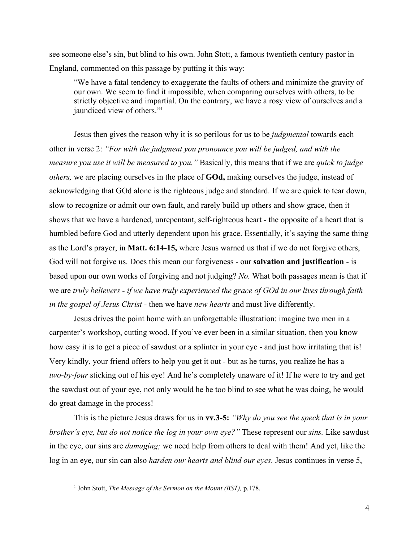see someone else's sin, but blind to his own. John Stott, a famous twentieth century pastor in England, commented on this passage by putting it this way:

"We have a fatal tendency to exaggerate the faults of others and minimize the gravity of our own. We seem to find it impossible, when comparing ourselves with others, to be strictly objective and impartial. On the contrary, we have a rosy view of ourselves and a jaundiced view of others."<sup>1</sup>

Jesus then gives the reason why it is so perilous for us to be *judgmental* towards each other in verse 2: *"For with the judgment you pronounce you will be judged, and with the measure you use it will be measured to you."* Basically, this means that if we are *quick to judge others,* we are placing ourselves in the place of **GOd,** making ourselves the judge, instead of acknowledging that GOd alone is the righteous judge and standard. If we are quick to tear down, slow to recognize or admit our own fault, and rarely build up others and show grace, then it shows that we have a hardened, unrepentant, self-righteous heart - the opposite of a heart that is humbled before God and utterly dependent upon his grace. Essentially, it's saying the same thing as the Lord's prayer, in **Matt. 6:14-15,** where Jesus warned us that if we do not forgive others, God will not forgive us. Does this mean our forgiveness - our **salvation and justification** - is based upon our own works of forgiving and not judging? *No.* What both passages mean is that if we are *truly believers - if we have truly experienced the grace of GOd in our lives through faith in the gospel of Jesus Christ -* then we have *new hearts* and must live differently.

Jesus drives the point home with an unforgettable illustration: imagine two men in a carpenter's workshop, cutting wood. If you've ever been in a similar situation, then you know how easy it is to get a piece of sawdust or a splinter in your eye - and just how irritating that is! Very kindly, your friend offers to help you get it out - but as he turns, you realize he has a *two-by-four* sticking out of his eye! And he's completely unaware of it! If he were to try and get the sawdust out of your eye, not only would he be too blind to see what he was doing, he would do great damage in the process!

This is the picture Jesus draws for us in **vv.3-5:** *"Why do you see the speck that is in your brother's eye, but do not notice the log in your own eye?"* These represent our *sins.* Like sawdust in the eye, our sins are *damaging;* we need help from others to deal with them! And yet, like the log in an eye, our sin can also *harden our hearts and blind our eyes.* Jesus continues in verse 5,

<sup>1</sup> John Stott, *The Message of the Sermon on the Mount (BST),* p.178.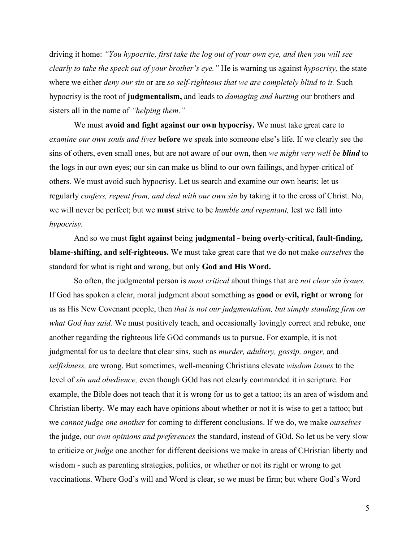driving it home: *"You hypocrite, first take the log out of your own eye, and then you will see clearly to take the speck out of your brother's eye."* He is warning us against *hypocrisy,* the state where we either *deny our sin* or are *so self-righteous that we are completely blind to it.* Such hypocrisy is the root of **judgmentalism,** and leads to *damaging and hurting* our brothers and sisters all in the name of *"helping them."*

We must **avoid and fight against our own hypocrisy.** We must take great care to *examine our own souls and lives* **before** we speak into someone else's life. If we clearly see the sins of others, even small ones, but are not aware of our own, then *we might very well be blind* to the logs in our own eyes; our sin can make us blind to our own failings, and hyper-critical of others. We must avoid such hypocrisy. Let us search and examine our own hearts; let us regularly *confess, repent from, and deal with our own sin* by taking it to the cross of Christ. No, we will never be perfect; but we **must** strive to be *humble and repentant,* lest we fall into *hypocrisy.*

And so we must **fight against** being **judgmental - being overly-critical, fault-finding, blame-shifting, and self-righteous.** We must take great care that we do not make *ourselves* the standard for what is right and wrong, but only **God and His Word.**

So often, the judgmental person is *most critical* about things that are *not clear sin issues.* If God has spoken a clear, moral judgment about something as **good** or **evil, right** or **wrong** for us as His New Covenant people, then *that is not our judgmentalism, but simply standing firm on what God has said.* We must positively teach, and occasionally lovingly correct and rebuke, one another regarding the righteous life GOd commands us to pursue. For example, it is not judgmental for us to declare that clear sins, such as *murder, adultery, gossip, anger,* and *selfishness,* are wrong. But sometimes, well-meaning Christians elevate *wisdom issues* to the level of *sin and obedience,* even though GOd has not clearly commanded it in scripture. For example, the Bible does not teach that it is wrong for us to get a tattoo; its an area of wisdom and Christian liberty. We may each have opinions about whether or not it is wise to get a tattoo; but we *cannot judge one another* for coming to different conclusions. If we do, we make *ourselves* the judge, our *own opinions and preferences* the standard, instead of GOd. So let us be very slow to criticize or *judge* one another for different decisions we make in areas of CHristian liberty and wisdom - such as parenting strategies, politics, or whether or not its right or wrong to get vaccinations. Where God's will and Word is clear, so we must be firm; but where God's Word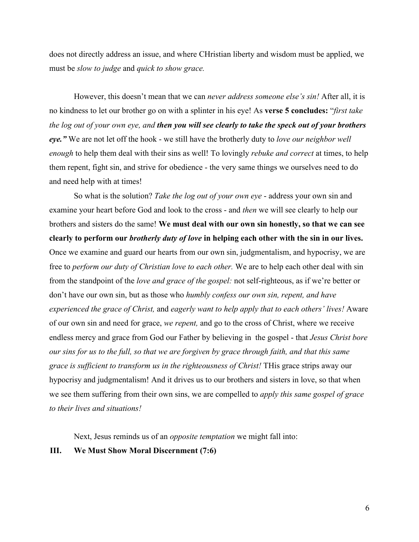does not directly address an issue, and where CHristian liberty and wisdom must be applied, we must be *slow to judge* and *quick to show grace.*

However, this doesn't mean that we can *never address someone else's sin!* After all, it is no kindness to let our brother go on with a splinter in his eye! As **verse 5 concludes:** "*first take the log out of your own eye, and then you will see clearly to take the speck out of your brothers eye."* We are not let off the hook - we still have the brotherly duty to *love our neighbor well enough* to help them deal with their sins as well! To lovingly *rebuke and correct* at times, to help them repent, fight sin, and strive for obedience - the very same things we ourselves need to do and need help with at times!

So what is the solution? *Take the log out of your own eye* - address your own sin and examine your heart before God and look to the cross - and *then* we will see clearly to help our brothers and sisters do the same! **We must deal with our own sin honestly, so that we can see clearly to perform our** *brotherly duty of love* **in helping each other with the sin in our lives.** Once we examine and guard our hearts from our own sin, judgmentalism, and hypocrisy, we are free to *perform our duty of Christian love to each other.* We are to help each other deal with sin from the standpoint of the *love and grace of the gospel:* not self-righteous, as if we're better or don't have our own sin, but as those who *humbly confess our own sin, repent, and have experienced the grace of Christ,* and *eagerly want to help apply that to each others' lives!* Aware of our own sin and need for grace, *we repent,* and go to the cross of Christ, where we receive endless mercy and grace from God our Father by believing in the gospel - that *Jesus Christ bore our sins for us to the full, so that we are forgiven by grace through faith, and that this same grace is sufficient to transform us in the righteousness of Christ!* THis grace strips away our hypocrisy and judgmentalism! And it drives us to our brothers and sisters in love, so that when we see them suffering from their own sins, we are compelled to *apply this same gospel of grace to their lives and situations!*

Next, Jesus reminds us of an *opposite temptation* we might fall into:

## **III. We Must Show Moral Discernment (7:6)**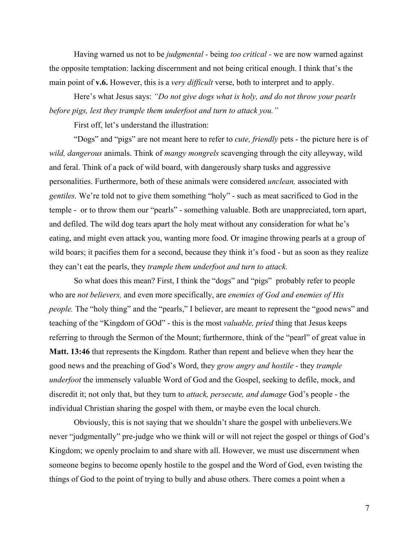Having warned us not to be *judgmental -* being *too critical -* we are now warned against the opposite temptation: lacking discernment and not being critical enough. I think that's the main point of **v.6.** However, this is a *very difficult* verse, both to interpret and to apply.

Here's what Jesus says: *"Do not give dogs what is holy, and do not throw your pearls before pigs, lest they trample them underfoot and turn to attack you."*

First off, let's understand the illustration:

"Dogs" and "pigs" are not meant here to refer to *cute, friendly* pets - the picture here is of *wild, dangerous* animals. Think of *mangy mongrels* scavenging through the city alleyway, wild and feral. Think of a pack of wild board, with dangerously sharp tusks and aggressive personalities. Furthermore, both of these animals were considered *unclean,* associated with *gentiles.* We're told not to give them something "holy" - such as meat sacrificed to God in the temple - or to throw them our "pearls" - something valuable. Both are unappreciated, torn apart, and defiled. The wild dog tears apart the holy meat without any consideration for what he's eating, and might even attack you, wanting more food. Or imagine throwing pearls at a group of wild boars; it pacifies them for a second, because they think it's food - but as soon as they realize they can't eat the pearls, they *trample them underfoot and turn to attack.*

So what does this mean? First, I think the "dogs" and "pigs" probably refer to people who are *not believers,* and even more specifically, are *enemies of God and enemies of His people*. The "holy thing" and the "pearls," I believer, are meant to represent the "good news" and teaching of the "Kingdom of GOd" - this is the most *valuable, pried* thing that Jesus keeps referring to through the Sermon of the Mount; furthermore, think of the "pearl" of great value in **Matt. 13:46** that represents the Kingdom. Rather than repent and believe when they hear the good news and the preaching of God's Word, they *grow angry and hostile -* they *trample underfoot* the immensely valuable Word of God and the Gospel, seeking to defile, mock, and discredit it; not only that, but they turn to *attack, persecute, and damage* God's people - the individual Christian sharing the gospel with them, or maybe even the local church.

Obviously, this is not saying that we shouldn't share the gospel with unbelievers.We never "judgmentally" pre-judge who we think will or will not reject the gospel or things of God's Kingdom; we openly proclaim to and share with all. However, we must use discernment when someone begins to become openly hostile to the gospel and the Word of God, even twisting the things of God to the point of trying to bully and abuse others. There comes a point when a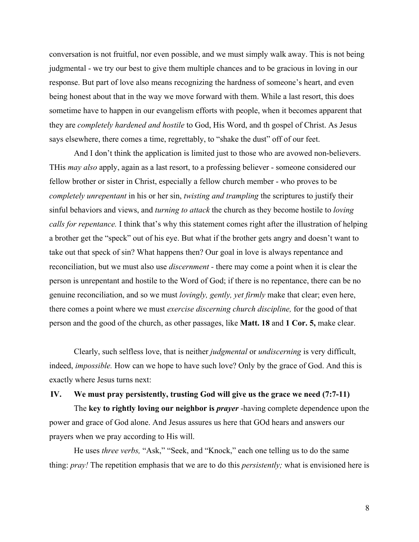conversation is not fruitful, nor even possible, and we must simply walk away. This is not being judgmental - we try our best to give them multiple chances and to be gracious in loving in our response. But part of love also means recognizing the hardness of someone's heart, and even being honest about that in the way we move forward with them. While a last resort, this does sometime have to happen in our evangelism efforts with people, when it becomes apparent that they are *completely hardened and hostile* to God, His Word, and th gospel of Christ. As Jesus says elsewhere, there comes a time, regrettably, to "shake the dust" off of our feet.

And I don't think the application is limited just to those who are avowed non-believers. THis *may also* apply, again as a last resort, to a professing believer - someone considered our fellow brother or sister in Christ, especially a fellow church member - who proves to be *completely unrepentant* in his or her sin, *twisting and trampling* the scriptures to justify their sinful behaviors and views, and *turning to attack* the church as they become hostile to *loving calls for repentance.* I think that's why this statement comes right after the illustration of helping a brother get the "speck" out of his eye. But what if the brother gets angry and doesn't want to take out that speck of sin? What happens then? Our goal in love is always repentance and reconciliation, but we must also use *discernment -* there may come a point when it is clear the person is unrepentant and hostile to the Word of God; if there is no repentance, there can be no genuine reconciliation, and so we must *lovingly, gently, yet firmly* make that clear; even here, there comes a point where we must *exercise discerning church discipline,* for the good of that person and the good of the church, as other passages, like **Matt. 18** and **1 Cor. 5,** make clear.

Clearly, such selfless love, that is neither *judgmental* or *undiscerning* is very difficult, indeed, *impossible*. How can we hope to have such love? Only by the grace of God. And this is exactly where Jesus turns next:

## **IV. We must pray persistently, trusting God will give us the grace we need (7:7-11)**

The **key to rightly loving our neighbor is** *prayer* -having complete dependence upon the power and grace of God alone. And Jesus assures us here that GOd hears and answers our prayers when we pray according to His will.

He uses *three verbs,* "Ask," "Seek, and "Knock," each one telling us to do the same thing: *pray!* The repetition emphasis that we are to do this *persistently;* what is envisioned here is